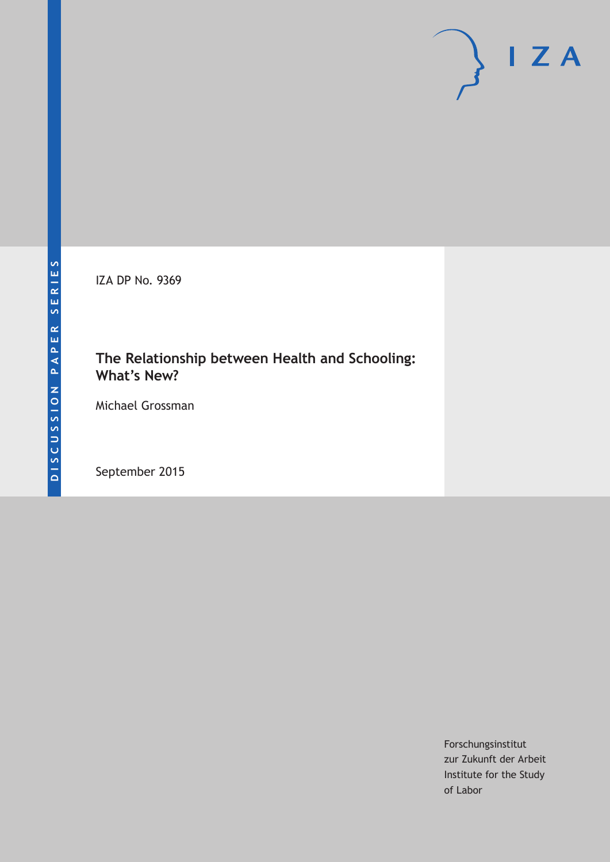IZA DP No. 9369

# **The Relationship between Health and Schooling: What's New?**

Michael Grossman

September 2015

Forschungsinstitut zur Zukunft der Arbeit Institute for the Study of Labor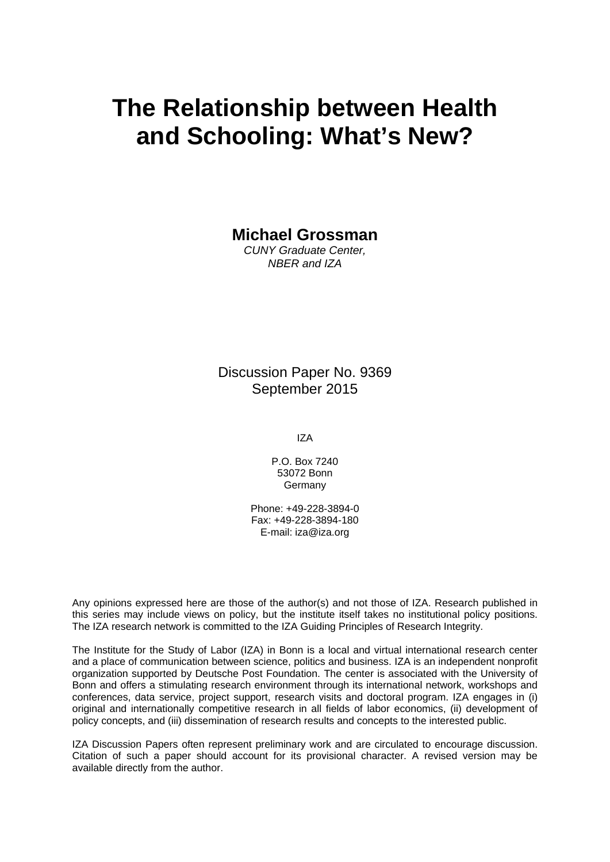# **The Relationship between Health and Schooling: What's New?**

**Michael Grossman** 

*CUNY Graduate Center, NBER and IZA* 

Discussion Paper No. 9369 September 2015

IZA

P.O. Box 7240 53072 Bonn Germany

Phone: +49-228-3894-0 Fax: +49-228-3894-180 E-mail: iza@iza.org

Any opinions expressed here are those of the author(s) and not those of IZA. Research published in this series may include views on policy, but the institute itself takes no institutional policy positions. The IZA research network is committed to the IZA Guiding Principles of Research Integrity.

The Institute for the Study of Labor (IZA) in Bonn is a local and virtual international research center and a place of communication between science, politics and business. IZA is an independent nonprofit organization supported by Deutsche Post Foundation. The center is associated with the University of Bonn and offers a stimulating research environment through its international network, workshops and conferences, data service, project support, research visits and doctoral program. IZA engages in (i) original and internationally competitive research in all fields of labor economics, (ii) development of policy concepts, and (iii) dissemination of research results and concepts to the interested public.

IZA Discussion Papers often represent preliminary work and are circulated to encourage discussion. Citation of such a paper should account for its provisional character. A revised version may be available directly from the author.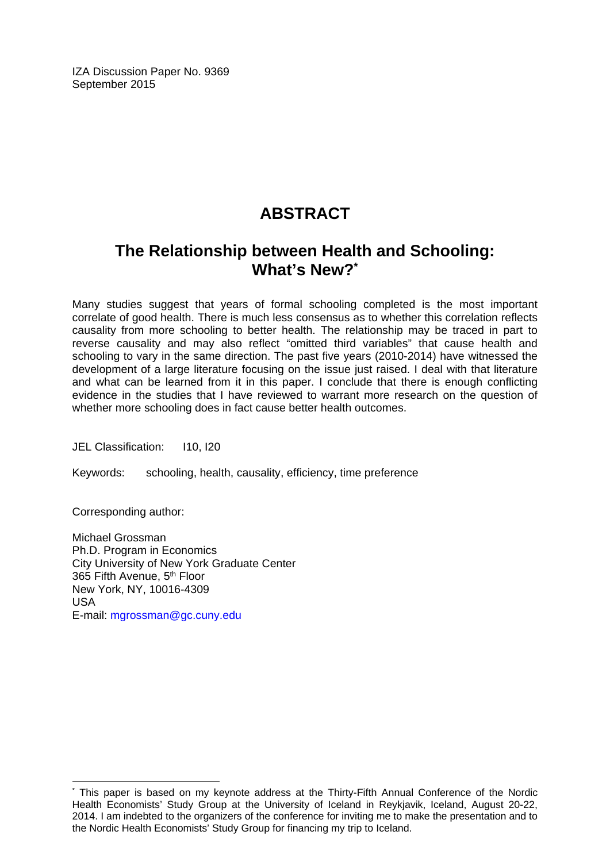IZA Discussion Paper No. 9369 September 2015

# **ABSTRACT**

# **The Relationship between Health and Schooling: What's New?\***

Many studies suggest that years of formal schooling completed is the most important correlate of good health. There is much less consensus as to whether this correlation reflects causality from more schooling to better health. The relationship may be traced in part to reverse causality and may also reflect "omitted third variables" that cause health and schooling to vary in the same direction. The past five years (2010-2014) have witnessed the development of a large literature focusing on the issue just raised. I deal with that literature and what can be learned from it in this paper. I conclude that there is enough conflicting evidence in the studies that I have reviewed to warrant more research on the question of whether more schooling does in fact cause better health outcomes.

JEL Classification: I10, I20

Keywords: schooling, health, causality, efficiency, time preference

Corresponding author:

 $\overline{\phantom{a}}$ 

Michael Grossman Ph.D. Program in Economics City University of New York Graduate Center 365 Fifth Avenue, 5th Floor New York, NY, 10016-4309 USA E-mail: mgrossman@gc.cuny.edu

<sup>\*</sup> This paper is based on my keynote address at the Thirty-Fifth Annual Conference of the Nordic Health Economists' Study Group at the University of Iceland in Reykjavik, Iceland, August 20-22, 2014. I am indebted to the organizers of the conference for inviting me to make the presentation and to the Nordic Health Economists' Study Group for financing my trip to Iceland.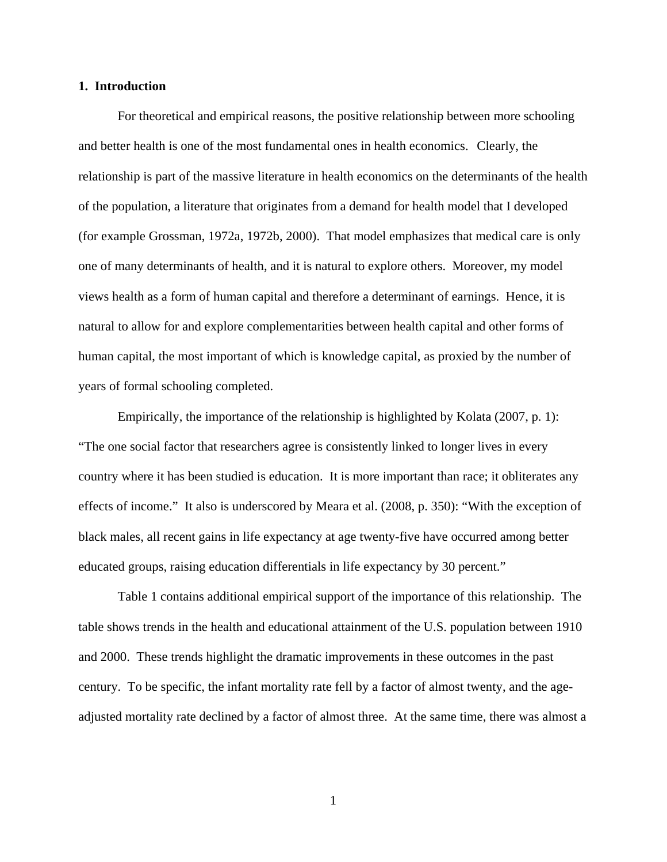#### **1. Introduction**

For theoretical and empirical reasons, the positive relationship between more schooling and better health is one of the most fundamental ones in health economics. Clearly, the relationship is part of the massive literature in health economics on the determinants of the health of the population, a literature that originates from a demand for health model that I developed (for example Grossman, 1972a, 1972b, 2000). That model emphasizes that medical care is only one of many determinants of health, and it is natural to explore others. Moreover, my model views health as a form of human capital and therefore a determinant of earnings. Hence, it is natural to allow for and explore complementarities between health capital and other forms of human capital, the most important of which is knowledge capital, as proxied by the number of years of formal schooling completed.

 Empirically, the importance of the relationship is highlighted by Kolata (2007, p. 1): "The one social factor that researchers agree is consistently linked to longer lives in every country where it has been studied is education. It is more important than race; it obliterates any effects of income." It also is underscored by Meara et al. (2008, p. 350): "With the exception of black males, all recent gains in life expectancy at age twenty-five have occurred among better educated groups, raising education differentials in life expectancy by 30 percent."

 Table 1 contains additional empirical support of the importance of this relationship. The table shows trends in the health and educational attainment of the U.S. population between 1910 and 2000. These trends highlight the dramatic improvements in these outcomes in the past century. To be specific, the infant mortality rate fell by a factor of almost twenty, and the ageadjusted mortality rate declined by a factor of almost three. At the same time, there was almost a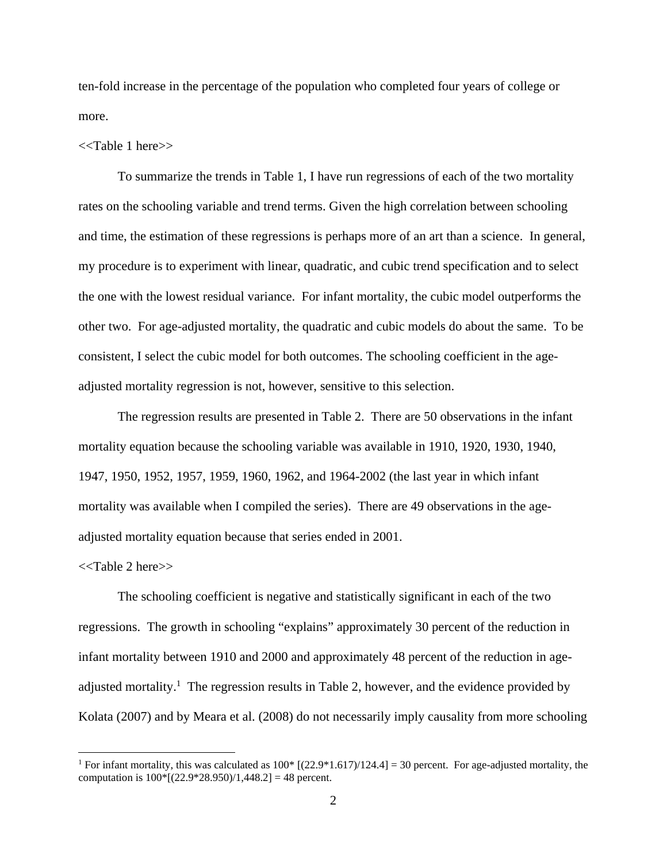ten-fold increase in the percentage of the population who completed four years of college or more.

#### <<Table 1 here>>

 To summarize the trends in Table 1, I have run regressions of each of the two mortality rates on the schooling variable and trend terms. Given the high correlation between schooling and time, the estimation of these regressions is perhaps more of an art than a science. In general, my procedure is to experiment with linear, quadratic, and cubic trend specification and to select the one with the lowest residual variance. For infant mortality, the cubic model outperforms the other two. For age-adjusted mortality, the quadratic and cubic models do about the same. To be consistent, I select the cubic model for both outcomes. The schooling coefficient in the ageadjusted mortality regression is not, however, sensitive to this selection.

 The regression results are presented in Table 2. There are 50 observations in the infant mortality equation because the schooling variable was available in 1910, 1920, 1930, 1940, 1947, 1950, 1952, 1957, 1959, 1960, 1962, and 1964-2002 (the last year in which infant mortality was available when I compiled the series). There are 49 observations in the ageadjusted mortality equation because that series ended in 2001.

#### <<Table 2 here>>

 $\overline{a}$ 

 The schooling coefficient is negative and statistically significant in each of the two regressions. The growth in schooling "explains" approximately 30 percent of the reduction in infant mortality between 1910 and 2000 and approximately 48 percent of the reduction in ageadjusted mortality.<sup>1</sup> The regression results in Table 2, however, and the evidence provided by Kolata (2007) and by Meara et al. (2008) do not necessarily imply causality from more schooling

<sup>&</sup>lt;sup>1</sup> For infant mortality, this was calculated as  $100*$  [(22.9\*1.617)/124.4] = 30 percent. For age-adjusted mortality, the computation is  $100*[(22.9*28.950)/1,448.2] = 48$  percent.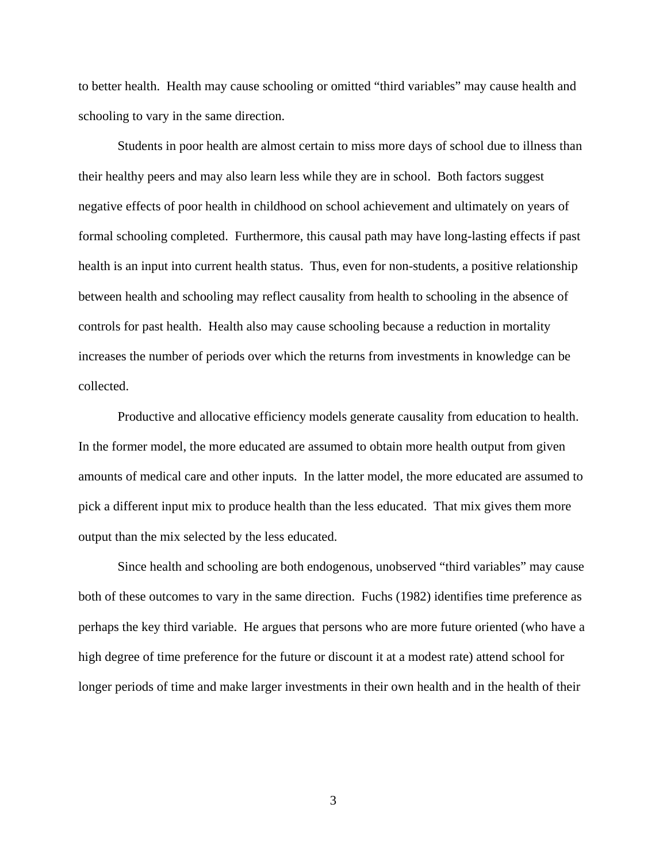to better health. Health may cause schooling or omitted "third variables" may cause health and schooling to vary in the same direction.

Students in poor health are almost certain to miss more days of school due to illness than their healthy peers and may also learn less while they are in school. Both factors suggest negative effects of poor health in childhood on school achievement and ultimately on years of formal schooling completed. Furthermore, this causal path may have long-lasting effects if past health is an input into current health status. Thus, even for non-students, a positive relationship between health and schooling may reflect causality from health to schooling in the absence of controls for past health. Health also may cause schooling because a reduction in mortality increases the number of periods over which the returns from investments in knowledge can be collected.

 Productive and allocative efficiency models generate causality from education to health. In the former model, the more educated are assumed to obtain more health output from given amounts of medical care and other inputs. In the latter model, the more educated are assumed to pick a different input mix to produce health than the less educated. That mix gives them more output than the mix selected by the less educated.

 Since health and schooling are both endogenous, unobserved "third variables" may cause both of these outcomes to vary in the same direction. Fuchs (1982) identifies time preference as perhaps the key third variable. He argues that persons who are more future oriented (who have a high degree of time preference for the future or discount it at a modest rate) attend school for longer periods of time and make larger investments in their own health and in the health of their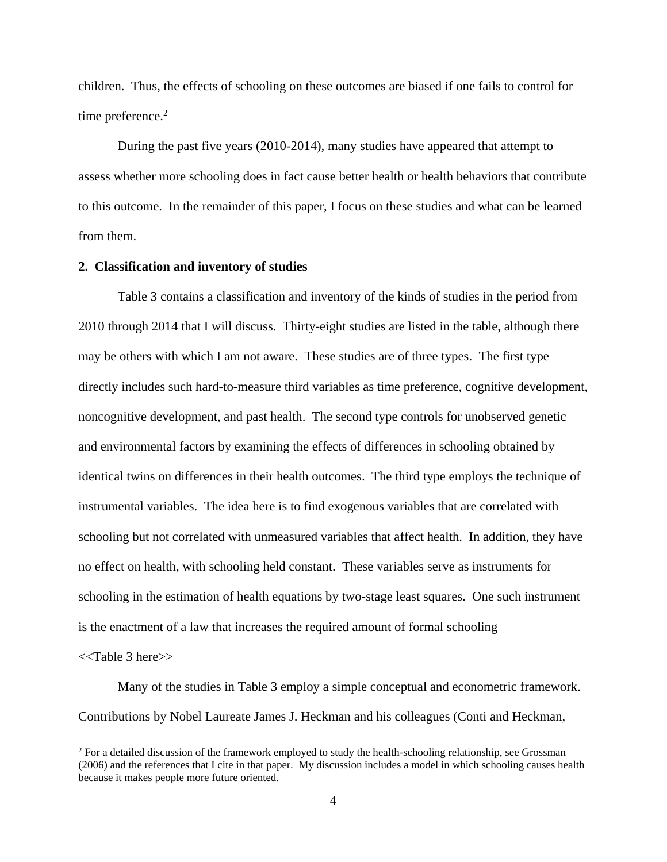children. Thus, the effects of schooling on these outcomes are biased if one fails to control for time preference. $2$ 

 During the past five years (2010-2014), many studies have appeared that attempt to assess whether more schooling does in fact cause better health or health behaviors that contribute to this outcome. In the remainder of this paper, I focus on these studies and what can be learned from them.

#### **2. Classification and inventory of studies**

 Table 3 contains a classification and inventory of the kinds of studies in the period from 2010 through 2014 that I will discuss. Thirty-eight studies are listed in the table, although there may be others with which I am not aware. These studies are of three types. The first type directly includes such hard-to-measure third variables as time preference, cognitive development, noncognitive development, and past health. The second type controls for unobserved genetic and environmental factors by examining the effects of differences in schooling obtained by identical twins on differences in their health outcomes. The third type employs the technique of instrumental variables. The idea here is to find exogenous variables that are correlated with schooling but not correlated with unmeasured variables that affect health. In addition, they have no effect on health, with schooling held constant. These variables serve as instruments for schooling in the estimation of health equations by two-stage least squares. One such instrument is the enactment of a law that increases the required amount of formal schooling

<<Table 3 here>>

 $\overline{a}$ 

 Many of the studies in Table 3 employ a simple conceptual and econometric framework. Contributions by Nobel Laureate James J. Heckman and his colleagues (Conti and Heckman,

<sup>&</sup>lt;sup>2</sup> For a detailed discussion of the framework employed to study the health-schooling relationship, see Grossman (2006) and the references that I cite in that paper. My discussion includes a model in which schooling causes health because it makes people more future oriented.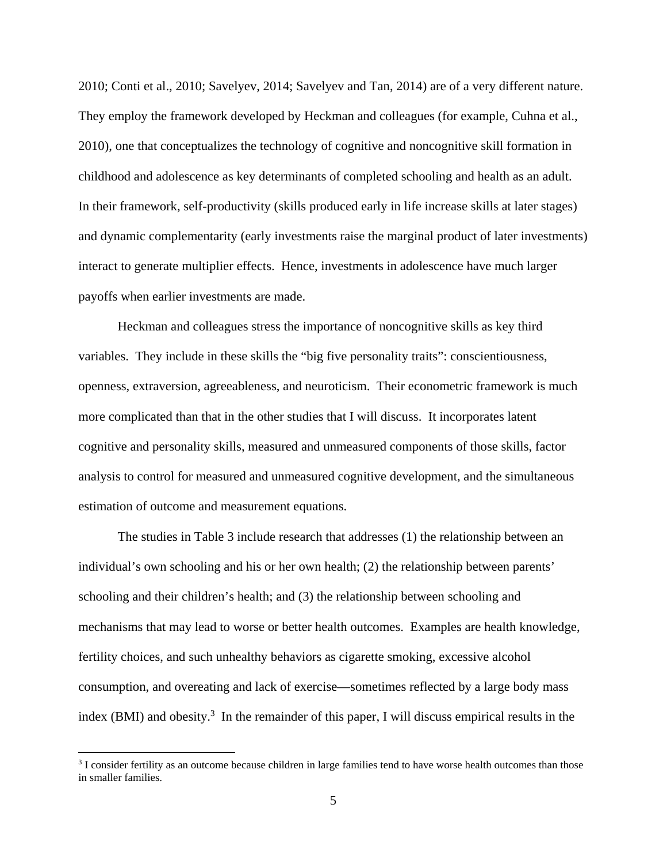2010; Conti et al., 2010; Savelyev, 2014; Savelyev and Tan, 2014) are of a very different nature. They employ the framework developed by Heckman and colleagues (for example, Cuhna et al., 2010), one that conceptualizes the technology of cognitive and noncognitive skill formation in childhood and adolescence as key determinants of completed schooling and health as an adult. In their framework, self-productivity (skills produced early in life increase skills at later stages) and dynamic complementarity (early investments raise the marginal product of later investments) interact to generate multiplier effects. Hence, investments in adolescence have much larger payoffs when earlier investments are made.

 Heckman and colleagues stress the importance of noncognitive skills as key third variables. They include in these skills the "big five personality traits": conscientiousness, openness, extraversion, agreeableness, and neuroticism. Their econometric framework is much more complicated than that in the other studies that I will discuss. It incorporates latent cognitive and personality skills, measured and unmeasured components of those skills, factor analysis to control for measured and unmeasured cognitive development, and the simultaneous estimation of outcome and measurement equations.

 The studies in Table 3 include research that addresses (1) the relationship between an individual's own schooling and his or her own health; (2) the relationship between parents' schooling and their children's health; and (3) the relationship between schooling and mechanisms that may lead to worse or better health outcomes. Examples are health knowledge, fertility choices, and such unhealthy behaviors as cigarette smoking, excessive alcohol consumption, and overeating and lack of exercise—sometimes reflected by a large body mass index (BMI) and obesity.<sup>3</sup> In the remainder of this paper, I will discuss empirical results in the

<sup>&</sup>lt;sup>3</sup> I consider fertility as an outcome because children in large families tend to have worse health outcomes than those in smaller families.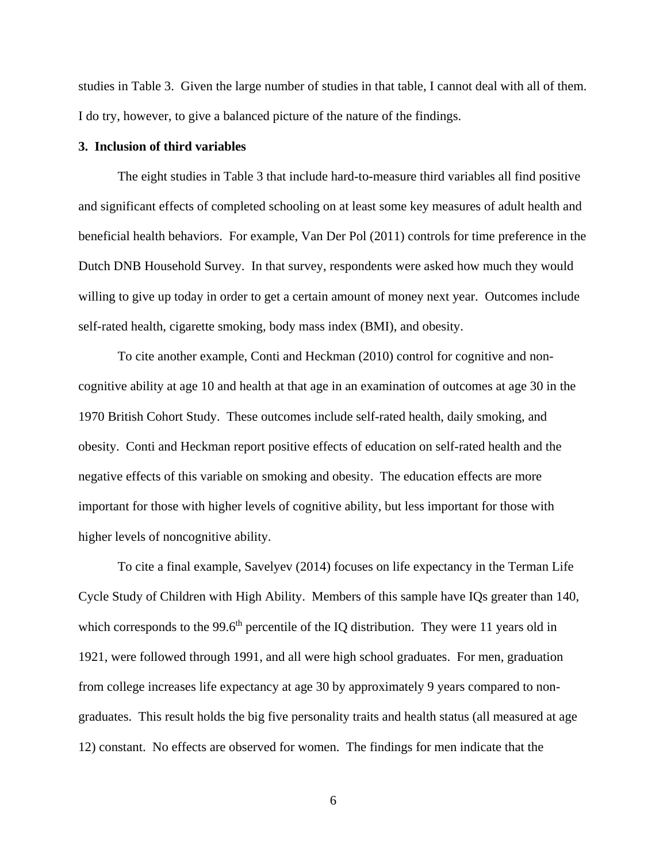studies in Table 3. Given the large number of studies in that table, I cannot deal with all of them. I do try, however, to give a balanced picture of the nature of the findings.

#### **3. Inclusion of third variables**

The eight studies in Table 3 that include hard-to-measure third variables all find positive and significant effects of completed schooling on at least some key measures of adult health and beneficial health behaviors. For example, Van Der Pol (2011) controls for time preference in the Dutch DNB Household Survey. In that survey, respondents were asked how much they would willing to give up today in order to get a certain amount of money next year. Outcomes include self-rated health, cigarette smoking, body mass index (BMI), and obesity.

 To cite another example, Conti and Heckman (2010) control for cognitive and noncognitive ability at age 10 and health at that age in an examination of outcomes at age 30 in the 1970 British Cohort Study. These outcomes include self-rated health, daily smoking, and obesity. Conti and Heckman report positive effects of education on self-rated health and the negative effects of this variable on smoking and obesity. The education effects are more important for those with higher levels of cognitive ability, but less important for those with higher levels of noncognitive ability.

 To cite a final example, Savelyev (2014) focuses on life expectancy in the Terman Life Cycle Study of Children with High Ability. Members of this sample have IQs greater than 140, which corresponds to the 99.6<sup>th</sup> percentile of the IQ distribution. They were 11 years old in 1921, were followed through 1991, and all were high school graduates. For men, graduation from college increases life expectancy at age 30 by approximately 9 years compared to nongraduates. This result holds the big five personality traits and health status (all measured at age 12) constant. No effects are observed for women. The findings for men indicate that the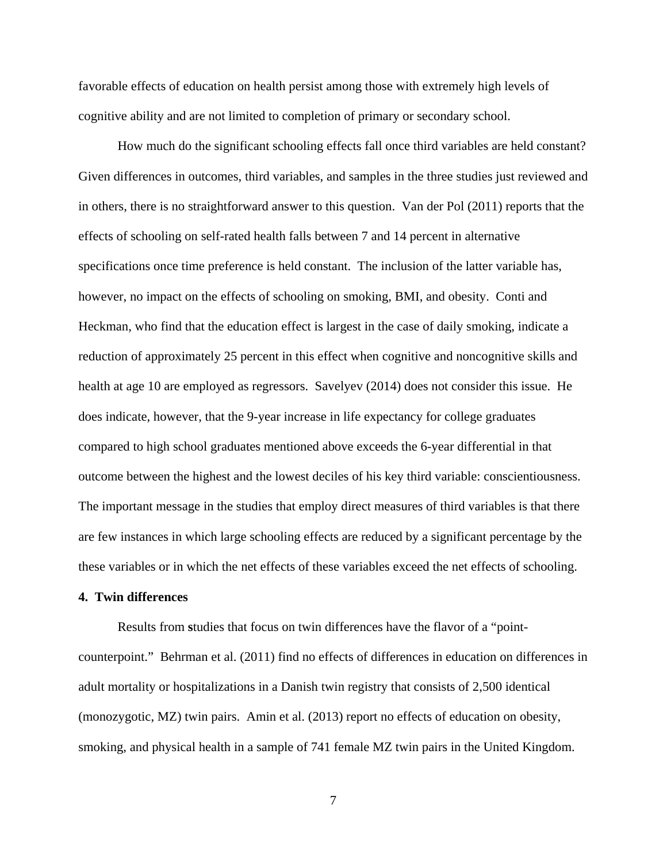favorable effects of education on health persist among those with extremely high levels of cognitive ability and are not limited to completion of primary or secondary school.

 How much do the significant schooling effects fall once third variables are held constant? Given differences in outcomes, third variables, and samples in the three studies just reviewed and in others, there is no straightforward answer to this question. Van der Pol (2011) reports that the effects of schooling on self-rated health falls between 7 and 14 percent in alternative specifications once time preference is held constant. The inclusion of the latter variable has, however, no impact on the effects of schooling on smoking, BMI, and obesity. Conti and Heckman, who find that the education effect is largest in the case of daily smoking, indicate a reduction of approximately 25 percent in this effect when cognitive and noncognitive skills and health at age 10 are employed as regressors. Savelyev (2014) does not consider this issue. He does indicate, however, that the 9-year increase in life expectancy for college graduates compared to high school graduates mentioned above exceeds the 6-year differential in that outcome between the highest and the lowest deciles of his key third variable: conscientiousness. The important message in the studies that employ direct measures of third variables is that there are few instances in which large schooling effects are reduced by a significant percentage by the these variables or in which the net effects of these variables exceed the net effects of schooling.

#### **4. Twin differences**

Results from **s**tudies that focus on twin differences have the flavor of a "pointcounterpoint." Behrman et al. (2011) find no effects of differences in education on differences in adult mortality or hospitalizations in a Danish twin registry that consists of 2,500 identical (monozygotic, MZ) twin pairs. Amin et al. (2013) report no effects of education on obesity, smoking, and physical health in a sample of 741 female MZ twin pairs in the United Kingdom.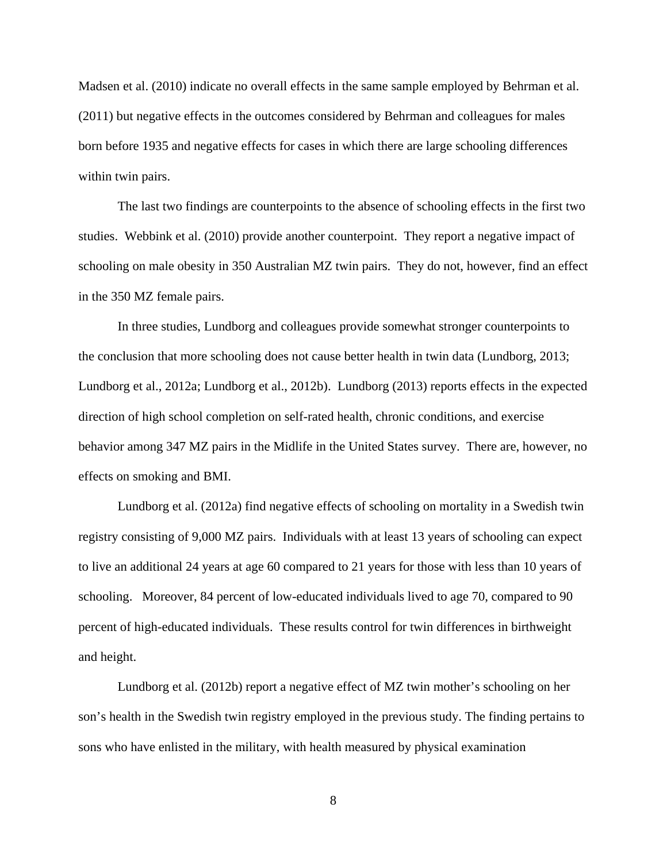Madsen et al. (2010) indicate no overall effects in the same sample employed by Behrman et al. (2011) but negative effects in the outcomes considered by Behrman and colleagues for males born before 1935 and negative effects for cases in which there are large schooling differences within twin pairs.

 The last two findings are counterpoints to the absence of schooling effects in the first two studies. Webbink et al. (2010) provide another counterpoint. They report a negative impact of schooling on male obesity in 350 Australian MZ twin pairs. They do not, however, find an effect in the 350 MZ female pairs.

 In three studies, Lundborg and colleagues provide somewhat stronger counterpoints to the conclusion that more schooling does not cause better health in twin data (Lundborg, 2013; Lundborg et al., 2012a; Lundborg et al., 2012b). Lundborg (2013) reports effects in the expected direction of high school completion on self-rated health, chronic conditions, and exercise behavior among 347 MZ pairs in the Midlife in the United States survey. There are, however, no effects on smoking and BMI.

 Lundborg et al. (2012a) find negative effects of schooling on mortality in a Swedish twin registry consisting of 9,000 MZ pairs. Individuals with at least 13 years of schooling can expect to live an additional 24 years at age 60 compared to 21 years for those with less than 10 years of schooling. Moreover, 84 percent of low-educated individuals lived to age 70, compared to 90 percent of high-educated individuals. These results control for twin differences in birthweight and height.

 Lundborg et al. (2012b) report a negative effect of MZ twin mother's schooling on her son's health in the Swedish twin registry employed in the previous study. The finding pertains to sons who have enlisted in the military, with health measured by physical examination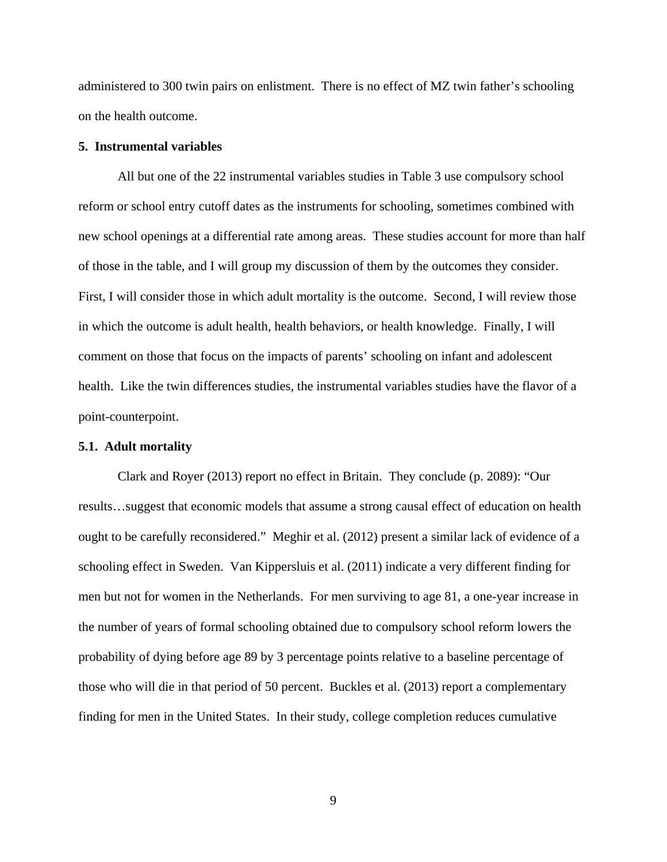administered to 300 twin pairs on enlistment. There is no effect of MZ twin father's schooling on the health outcome.

#### **5. Instrumental variables**

All but one of the 22 instrumental variables studies in Table 3 use compulsory school reform or school entry cutoff dates as the instruments for schooling, sometimes combined with new school openings at a differential rate among areas. These studies account for more than half of those in the table, and I will group my discussion of them by the outcomes they consider. First, I will consider those in which adult mortality is the outcome. Second, I will review those in which the outcome is adult health, health behaviors, or health knowledge. Finally, I will comment on those that focus on the impacts of parents' schooling on infant and adolescent health. Like the twin differences studies, the instrumental variables studies have the flavor of a point-counterpoint.

#### **5.1. Adult mortality**

Clark and Royer (2013) report no effect in Britain. They conclude (p. 2089): "Our results…suggest that economic models that assume a strong causal effect of education on health ought to be carefully reconsidered." Meghir et al. (2012) present a similar lack of evidence of a schooling effect in Sweden. Van Kippersluis et al. (2011) indicate a very different finding for men but not for women in the Netherlands. For men surviving to age 81, a one-year increase in the number of years of formal schooling obtained due to compulsory school reform lowers the probability of dying before age 89 by 3 percentage points relative to a baseline percentage of those who will die in that period of 50 percent. Buckles et al. (2013) report a complementary finding for men in the United States. In their study, college completion reduces cumulative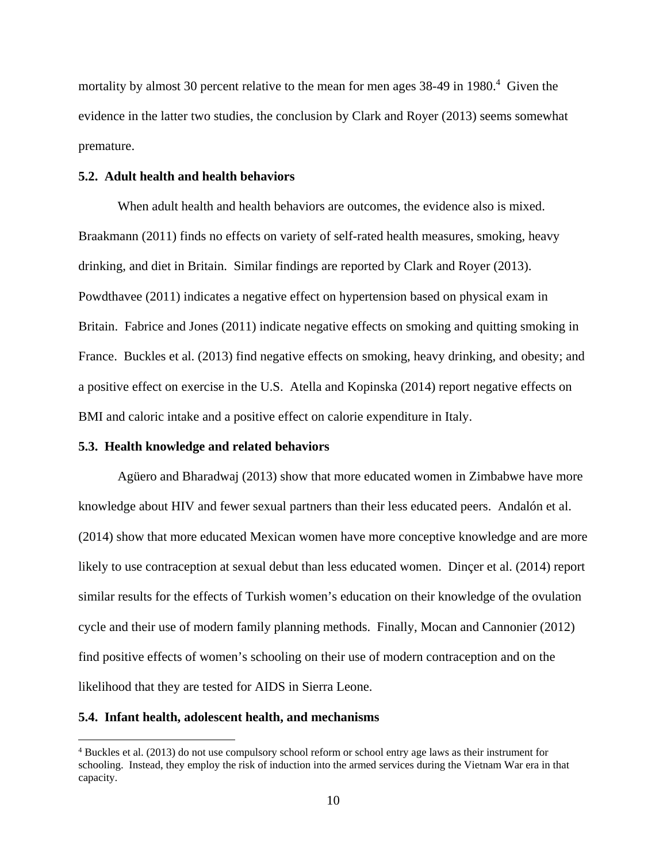mortality by almost 30 percent relative to the mean for men ages  $38-49$  in  $1980.4$  Given the evidence in the latter two studies, the conclusion by Clark and Royer (2013) seems somewhat premature.

#### **5.2. Adult health and health behaviors**

When adult health and health behaviors are outcomes, the evidence also is mixed. Braakmann (2011) finds no effects on variety of self-rated health measures, smoking, heavy drinking, and diet in Britain. Similar findings are reported by Clark and Royer (2013). Powdthavee (2011) indicates a negative effect on hypertension based on physical exam in Britain. Fabrice and Jones (2011) indicate negative effects on smoking and quitting smoking in France. Buckles et al. (2013) find negative effects on smoking, heavy drinking, and obesity; and a positive effect on exercise in the U.S. Atella and Kopinska (2014) report negative effects on BMI and caloric intake and a positive effect on calorie expenditure in Italy.

#### **5.3. Health knowledge and related behaviors**

 Agüero and Bharadwaj (2013) show that more educated women in Zimbabwe have more knowledge about HIV and fewer sexual partners than their less educated peers. Andalón et al. (2014) show that more educated Mexican women have more conceptive knowledge and are more likely to use contraception at sexual debut than less educated women. Dinçer et al. (2014) report similar results for the effects of Turkish women's education on their knowledge of the ovulation cycle and their use of modern family planning methods. Finally, Mocan and Cannonier (2012) find positive effects of women's schooling on their use of modern contraception and on the likelihood that they are tested for AIDS in Sierra Leone.

#### **5.4. Infant health, adolescent health, and mechanisms**

 $\overline{a}$ 

<sup>4</sup> Buckles et al. (2013) do not use compulsory school reform or school entry age laws as their instrument for schooling. Instead, they employ the risk of induction into the armed services during the Vietnam War era in that capacity.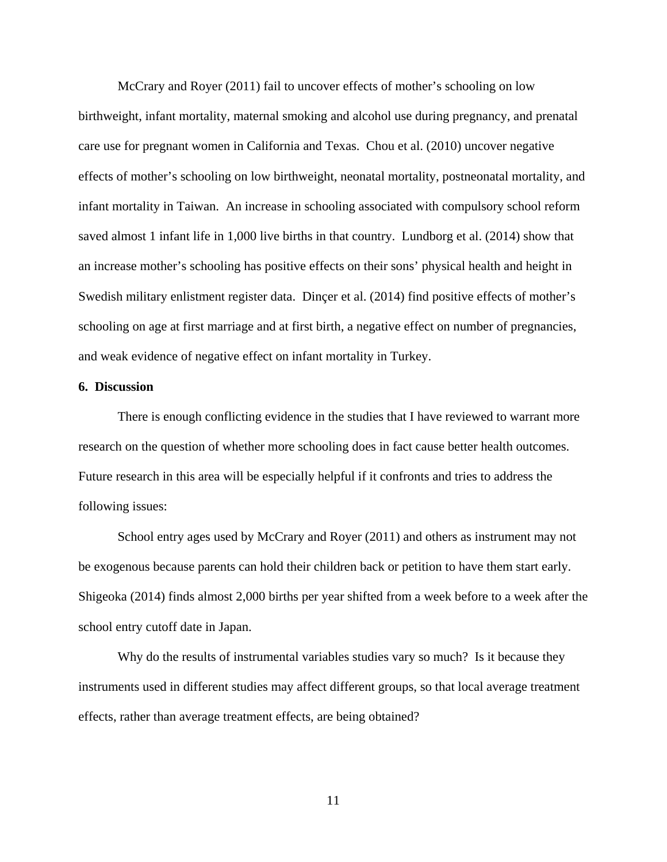McCrary and Royer (2011) fail to uncover effects of mother's schooling on low birthweight, infant mortality, maternal smoking and alcohol use during pregnancy, and prenatal care use for pregnant women in California and Texas. Chou et al. (2010) uncover negative effects of mother's schooling on low birthweight, neonatal mortality, postneonatal mortality, and infant mortality in Taiwan. An increase in schooling associated with compulsory school reform saved almost 1 infant life in 1,000 live births in that country. Lundborg et al. (2014) show that an increase mother's schooling has positive effects on their sons' physical health and height in Swedish military enlistment register data. Dinçer et al. (2014) find positive effects of mother's schooling on age at first marriage and at first birth, a negative effect on number of pregnancies, and weak evidence of negative effect on infant mortality in Turkey.

#### **6. Discussion**

There is enough conflicting evidence in the studies that I have reviewed to warrant more research on the question of whether more schooling does in fact cause better health outcomes. Future research in this area will be especially helpful if it confronts and tries to address the following issues:

 School entry ages used by McCrary and Royer (2011) and others as instrument may not be exogenous because parents can hold their children back or petition to have them start early. Shigeoka (2014) finds almost 2,000 births per year shifted from a week before to a week after the school entry cutoff date in Japan.

 Why do the results of instrumental variables studies vary so much? Is it because they instruments used in different studies may affect different groups, so that local average treatment effects, rather than average treatment effects, are being obtained?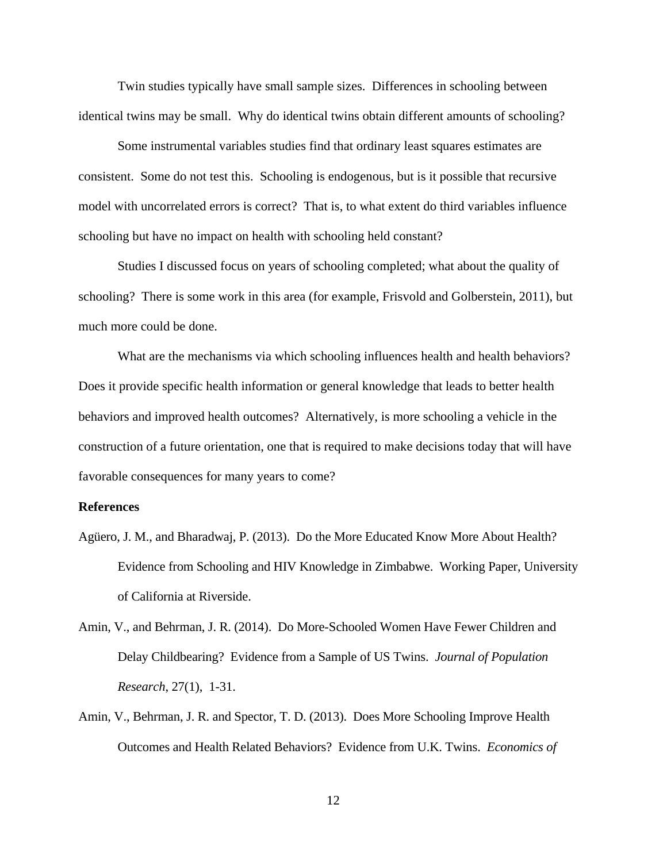Twin studies typically have small sample sizes. Differences in schooling between identical twins may be small. Why do identical twins obtain different amounts of schooling?

 Some instrumental variables studies find that ordinary least squares estimates are consistent. Some do not test this. Schooling is endogenous, but is it possible that recursive model with uncorrelated errors is correct? That is, to what extent do third variables influence schooling but have no impact on health with schooling held constant?

 Studies I discussed focus on years of schooling completed; what about the quality of schooling? There is some work in this area (for example, Frisvold and Golberstein, 2011), but much more could be done.

 What are the mechanisms via which schooling influences health and health behaviors? Does it provide specific health information or general knowledge that leads to better health behaviors and improved health outcomes? Alternatively, is more schooling a vehicle in the construction of a future orientation, one that is required to make decisions today that will have favorable consequences for many years to come?

#### **References**

- Agüero, J. M., and Bharadwaj, P. (2013). Do the More Educated Know More About Health? Evidence from Schooling and HIV Knowledge in Zimbabwe. Working Paper, University of California at Riverside.
- Amin, V., and Behrman, J. R. (2014). Do More-Schooled Women Have Fewer Children and Delay Childbearing? Evidence from a Sample of US Twins. *Journal of Population Research*, 27(1), 1-31.
- Amin, V., Behrman, J. R. and Spector, T. D. (2013). Does More Schooling Improve Health Outcomes and Health Related Behaviors? Evidence from U.K. Twins. *Economics of*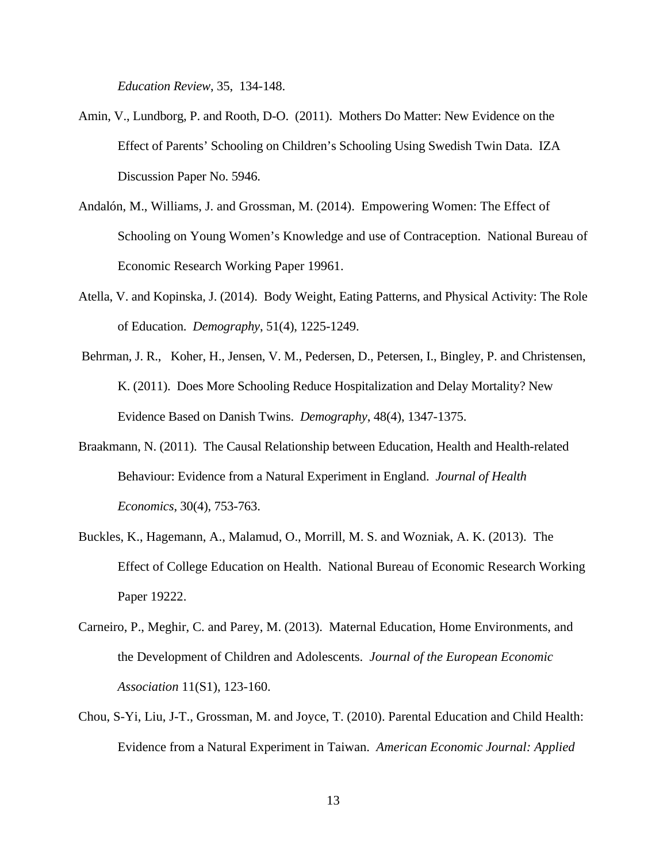*Education Review*, 35, 134-148.

- Amin, V., Lundborg, P. and Rooth, D-O. (2011). Mothers Do Matter: New Evidence on the Effect of Parents' Schooling on Children's Schooling Using Swedish Twin Data. IZA Discussion Paper No. 5946.
- Andalón, M., Williams, J. and Grossman, M. (2014). Empowering Women: The Effect of Schooling on Young Women's Knowledge and use of Contraception. National Bureau of Economic Research Working Paper 19961.
- Atella, V. and Kopinska, J. (2014). Body Weight, Eating Patterns, and Physical Activity: The Role of Education. *Demography*, 51(4), 1225-1249.
- Behrman, J. R., Koher, H., Jensen, V. M., Pedersen, D., Petersen, I., Bingley, P. and Christensen, K. (2011). Does More Schooling Reduce Hospitalization and Delay Mortality? New Evidence Based on Danish Twins. *Demography*, 48(4), 1347-1375.
- Braakmann, N. (2011). The Causal Relationship between Education, Health and Health-related Behaviour: Evidence from a Natural Experiment in England. *Journal of Health Economics*, 30(4), 753-763.
- Buckles, K., Hagemann, A., Malamud, O., Morrill, M. S. and Wozniak, A. K. (2013). The Effect of College Education on Health. National Bureau of Economic Research Working Paper 19222.
- Carneiro, P., Meghir, C. and Parey, M. (2013). Maternal Education, Home Environments, and the Development of Children and Adolescents. *Journal of the European Economic Association* 11(S1), 123-160.
- Chou, S-Yi, Liu, J-T., Grossman, M. and Joyce, T. (2010). Parental Education and Child Health: Evidence from a Natural Experiment in Taiwan. *American Economic Journal: Applied*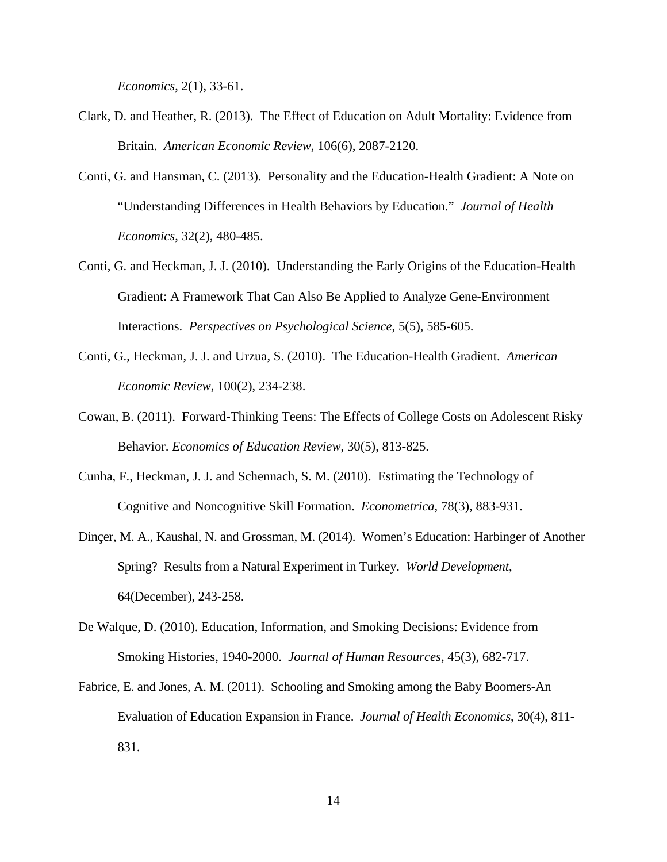*Economics*, 2(1), 33-61.

- Clark, D. and Heather, R. (2013). The Effect of Education on Adult Mortality: Evidence from Britain. *American Economic Review*, 106(6), 2087-2120.
- Conti, G. and Hansman, C. (2013). Personality and the Education-Health Gradient: A Note on "Understanding Differences in Health Behaviors by Education." *Journal of Health Economics*, 32(2), 480-485.
- Conti, G. and Heckman, J. J. (2010). Understanding the Early Origins of the Education-Health Gradient: A Framework That Can Also Be Applied to Analyze Gene-Environment Interactions. *Perspectives on Psychological Science*, 5(5), 585-605.
- Conti, G., Heckman, J. J. and Urzua, S. (2010). The Education-Health Gradient. *American Economic Review*, 100(2), 234-238.
- Cowan, B. (2011). Forward-Thinking Teens: The Effects of College Costs on Adolescent Risky Behavior. *Economics of Education Review*, 30(5), 813-825.
- Cunha, F., Heckman, J. J. and Schennach, S. M. (2010). Estimating the Technology of Cognitive and Noncognitive Skill Formation. *Econometrica*, 78(3), 883-931.
- Dinçer, M. A., Kaushal, N. and Grossman, M. (2014). Women's Education: Harbinger of Another Spring? Results from a Natural Experiment in Turkey. *World Development*, 64(December), 243-258.
- De Walque, D. (2010). Education, Information, and Smoking Decisions: Evidence from Smoking Histories, 1940-2000. *Journal of Human Resources*, 45(3), 682-717.
- Fabrice, E. and Jones, A. M. (2011). Schooling and Smoking among the Baby Boomers-An Evaluation of Education Expansion in France. *Journal of Health Economics*, 30(4), 811- 831.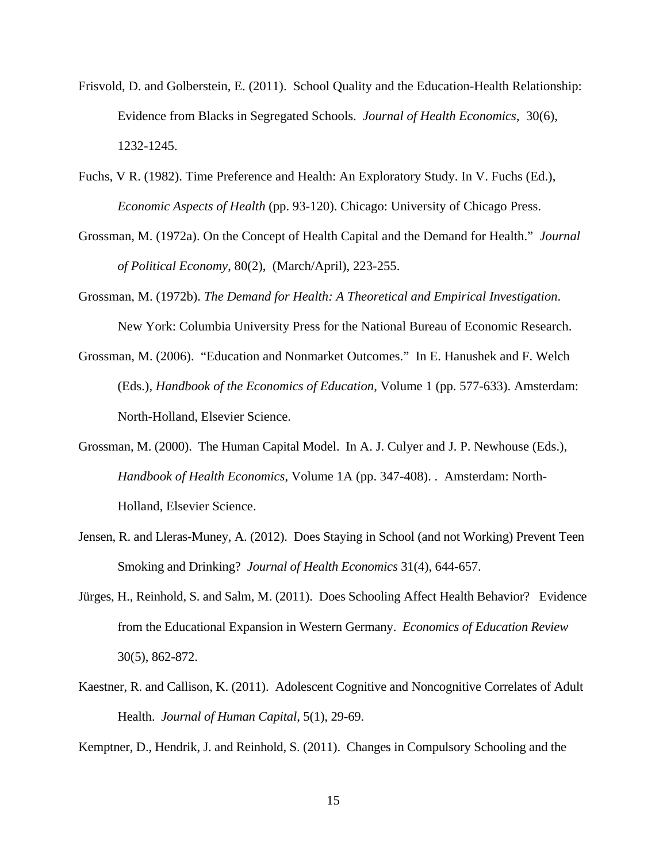- Frisvold, D. and Golberstein, E. (2011). School Quality and the Education-Health Relationship: Evidence from Blacks in Segregated Schools. *Journal of Health Economics*, 30(6), 1232-1245.
- Fuchs, V R. (1982). Time Preference and Health: An Exploratory Study. In V. Fuchs (Ed.), *Economic Aspects of Health* (pp. 93-120). Chicago: University of Chicago Press.
- Grossman, M. (1972a). On the Concept of Health Capital and the Demand for Health." *Journal of Political Economy*, 80(2), (March/April), 223-255.
- Grossman, M. (1972b). *The Demand for Health: A Theoretical and Empirical Investigation*. New York: Columbia University Press for the National Bureau of Economic Research.
- Grossman, M. (2006). "Education and Nonmarket Outcomes." In E. Hanushek and F. Welch (Eds.), *Handbook of the Economics of Education,* Volume 1 (pp. 577-633). Amsterdam: North-Holland, Elsevier Science.
- Grossman, M. (2000). The Human Capital Model. In A. J. Culyer and J. P. Newhouse (Eds.), *Handbook of Health Economics*, Volume 1A (pp. 347-408). . Amsterdam: North-Holland, Elsevier Science.
- Jensen, R. and Lleras-Muney, A. (2012). Does Staying in School (and not Working) Prevent Teen Smoking and Drinking? *Journal of Health Economics* 31(4), 644-657.
- Jürges, H., Reinhold, S. and Salm, M. (2011). Does Schooling Affect Health Behavior? Evidence from the Educational Expansion in Western Germany. *Economics of Education Review* 30(5), 862-872.
- Kaestner, R. and Callison, K. (2011). Adolescent Cognitive and Noncognitive Correlates of Adult Health. *Journal of Human Capital*, 5(1), 29-69.

Kemptner, D., Hendrik, J. and Reinhold, S. (2011). Changes in Compulsory Schooling and the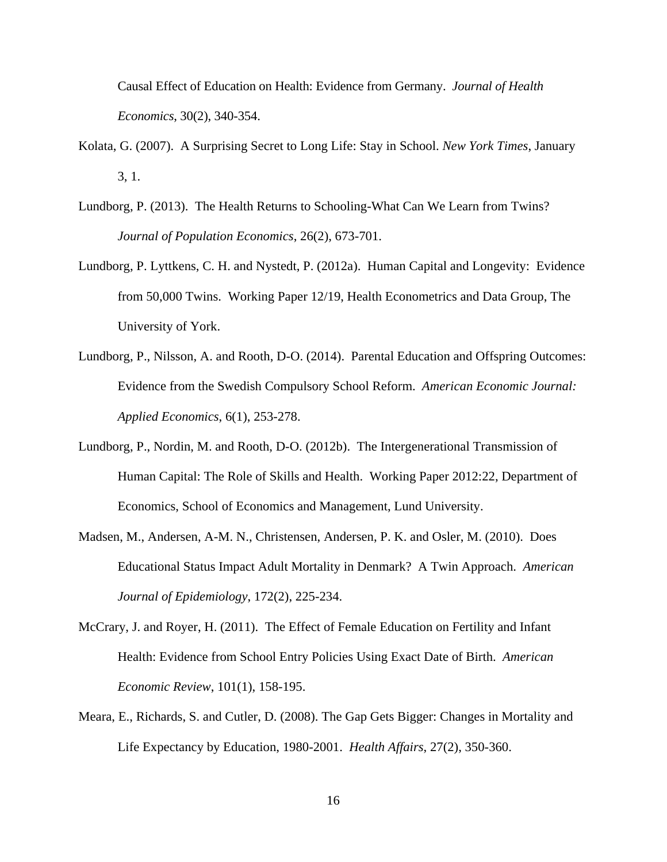Causal Effect of Education on Health: Evidence from Germany. *Journal of Health Economics*, 30(2), 340-354.

- Kolata, G. (2007). A Surprising Secret to Long Life: Stay in School. *New York Times*, January 3, 1.
- Lundborg, P. (2013). The Health Returns to Schooling-What Can We Learn from Twins? *Journal of Population Economics*, 26(2), 673-701.
- Lundborg, P. Lyttkens, C. H. and Nystedt, P. (2012a). Human Capital and Longevity: Evidence from 50,000 Twins. Working Paper 12/19, Health Econometrics and Data Group, The University of York.
- Lundborg, P., Nilsson, A. and Rooth, D-O. (2014). Parental Education and Offspring Outcomes: Evidence from the Swedish Compulsory School Reform. *American Economic Journal: Applied Economics*, 6(1), 253-278.
- Lundborg, P., Nordin, M. and Rooth, D-O. (2012b). The Intergenerational Transmission of Human Capital: The Role of Skills and Health. Working Paper 2012:22, Department of Economics, School of Economics and Management, Lund University.
- Madsen, M., Andersen, A-M. N., Christensen, Andersen, P. K. and Osler, M. (2010). Does Educational Status Impact Adult Mortality in Denmark? A Twin Approach. *American Journal of Epidemiology*, 172(2), 225-234.
- McCrary, J. and Royer, H. (2011). The Effect of Female Education on Fertility and Infant Health: Evidence from School Entry Policies Using Exact Date of Birth. *American Economic Review*, 101(1), 158-195.
- Meara, E., Richards, S. and Cutler, D. (2008). The Gap Gets Bigger: Changes in Mortality and Life Expectancy by Education, 1980-2001. *Health Affairs*, 27(2), 350-360.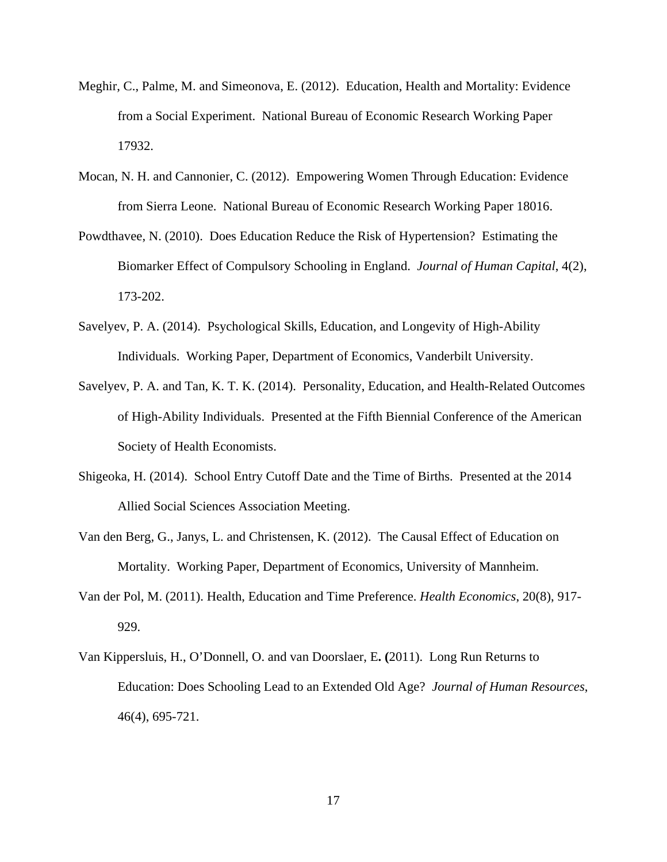- Meghir, C., Palme, M. and Simeonova, E. (2012). Education, Health and Mortality: Evidence from a Social Experiment. National Bureau of Economic Research Working Paper 17932.
- Mocan, N. H. and Cannonier, C. (2012). Empowering Women Through Education: Evidence from Sierra Leone. National Bureau of Economic Research Working Paper 18016.
- Powdthavee, N. (2010). Does Education Reduce the Risk of Hypertension? Estimating the Biomarker Effect of Compulsory Schooling in England. *Journal of Human Capital*, 4(2), 173-202.
- Savelyev, P. A. (2014). Psychological Skills, Education, and Longevity of High-Ability Individuals. Working Paper, Department of Economics, Vanderbilt University.
- Savelyev, P. A. and Tan, K. T. K. (2014). Personality, Education, and Health-Related Outcomes of High-Ability Individuals. Presented at the Fifth Biennial Conference of the American Society of Health Economists.
- Shigeoka, H. (2014). School Entry Cutoff Date and the Time of Births. Presented at the 2014 Allied Social Sciences Association Meeting.
- Van den Berg, G., Janys, L. and Christensen, K. (2012). The Causal Effect of Education on Mortality. Working Paper, Department of Economics, University of Mannheim.
- Van der Pol, M. (2011). Health, Education and Time Preference. *Health Economics*, 20(8), 917- 929.
- Van Kippersluis, H., O'Donnell, O. and van Doorslaer, E**. (**2011). Long Run Returns to Education: Does Schooling Lead to an Extended Old Age? *Journal of Human Resources*, 46(4), 695-721.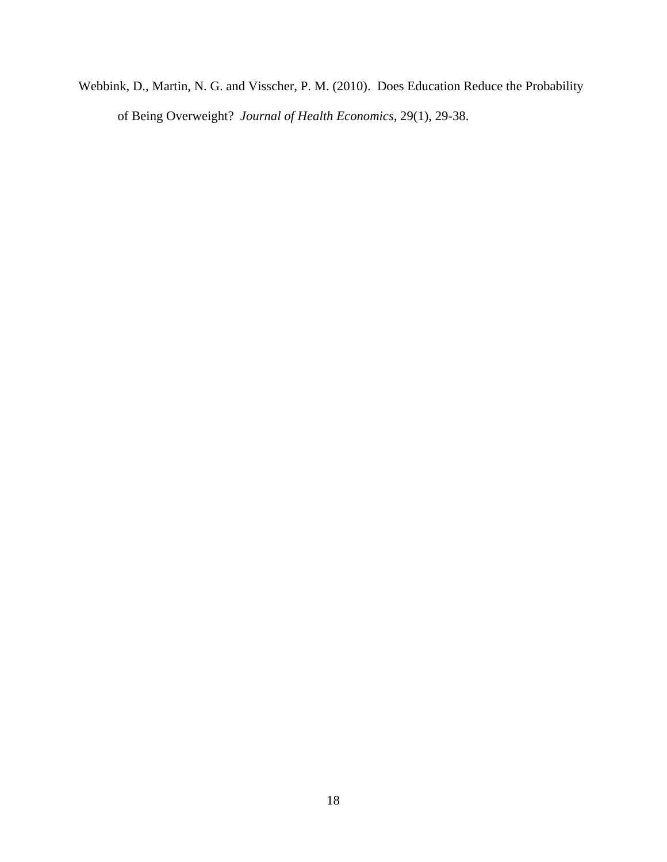Webbink, D., Martin, N. G. and Visscher, P. M. (2010). Does Education Reduce the Probability of Being Overweight? *Journal of Health Economics*, 29(1), 29-38.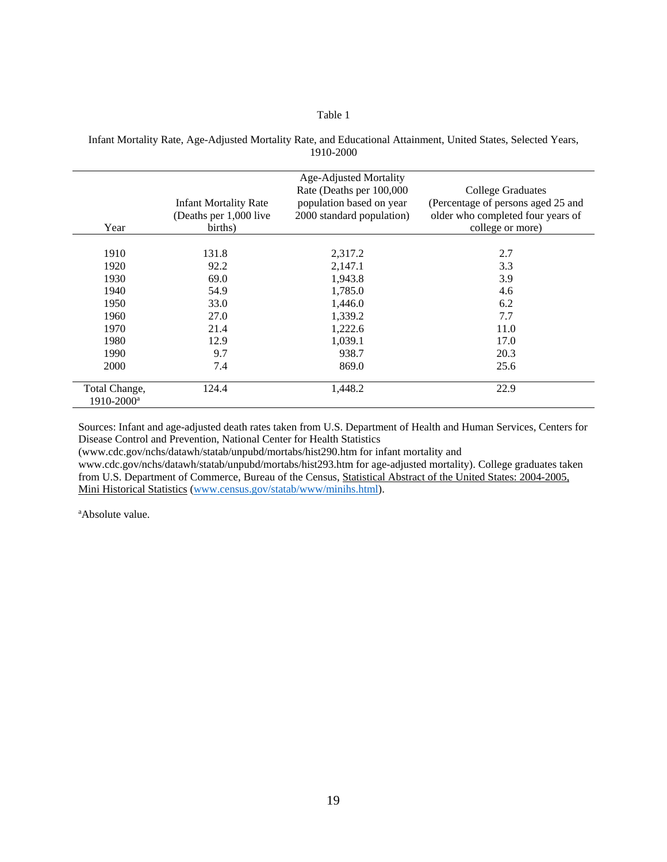#### Table 1

| Year                                        | <b>Infant Mortality Rate</b><br>(Deaths per 1,000 live<br>births) | Age-Adjusted Mortality<br>Rate (Deaths per 100,000<br>population based on year<br>2000 standard population) | <b>College Graduates</b><br>(Percentage of persons aged 25 and<br>older who completed four years of<br>college or more) |
|---------------------------------------------|-------------------------------------------------------------------|-------------------------------------------------------------------------------------------------------------|-------------------------------------------------------------------------------------------------------------------------|
| 1910                                        | 131.8                                                             | 2,317.2                                                                                                     | 2.7                                                                                                                     |
| 1920                                        | 92.2                                                              | 2,147.1                                                                                                     | 3.3                                                                                                                     |
| 1930                                        | 69.0                                                              | 1,943.8                                                                                                     | 3.9                                                                                                                     |
| 1940                                        | 54.9                                                              | 1,785.0                                                                                                     | 4.6                                                                                                                     |
| 1950                                        | 33.0                                                              | 1,446.0                                                                                                     | 6.2                                                                                                                     |
| 1960                                        | 27.0                                                              | 1,339.2                                                                                                     | 7.7                                                                                                                     |
| 1970                                        | 21.4                                                              | 1,222.6                                                                                                     | 11.0                                                                                                                    |
| 1980                                        | 12.9                                                              | 1.039.1                                                                                                     | 17.0                                                                                                                    |
| 1990                                        | 9.7                                                               | 938.7                                                                                                       | 20.3                                                                                                                    |
| 2000                                        | 7.4                                                               | 869.0                                                                                                       | 25.6                                                                                                                    |
| Total Change,<br>$1910 - 2000$ <sup>a</sup> | 124.4                                                             | 1,448.2                                                                                                     | 22.9                                                                                                                    |

Infant Mortality Rate, Age-Adjusted Mortality Rate, and Educational Attainment, United States, Selected Years, 1910-2000

Sources: Infant and age-adjusted death rates taken from U.S. Department of Health and Human Services, Centers for Disease Control and Prevention, National Center for Health Statistics

(www.cdc.gov/nchs/datawh/statab/unpubd/mortabs/hist290.htm for infant mortality and www.cdc.gov/nchs/datawh/statab/unpubd/mortabs/hist293.htm for age-adjusted mortality). College graduates taken from U.S. Department of Commerce, Bureau of the Census, Statistical Abstract of the United States: 2004-2005, Mini Historical Statistics (www.census.gov/statab/www/minihs.html).

a Absolute value.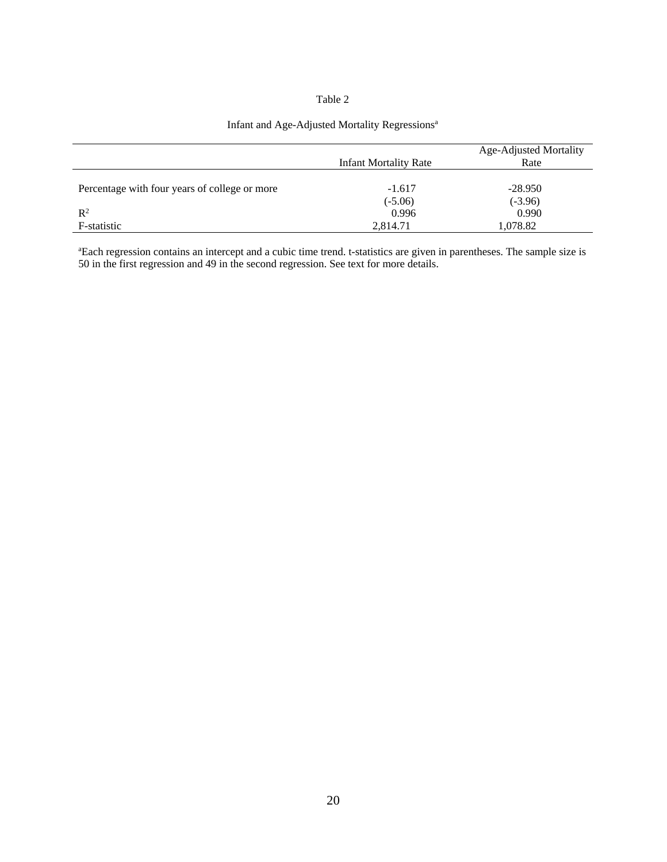#### Table 2

# Infant and Age-Adjusted Mortality Regressions<sup>a</sup>

|                                               |                              | <b>Age-Adjusted Mortality</b> |
|-----------------------------------------------|------------------------------|-------------------------------|
|                                               | <b>Infant Mortality Rate</b> | Rate                          |
|                                               |                              |                               |
| Percentage with four years of college or more | $-1.617$                     | $-28.950$                     |
|                                               | $(-5.06)$                    | $(-3.96)$                     |
| $\mathbb{R}^2$                                | 0.996                        | 0.990                         |
| F-statistic                                   | 2,814.71                     | 1,078.82                      |

a Each regression contains an intercept and a cubic time trend. t-statistics are given in parentheses. The sample size is 50 in the first regression and 49 in the second regression. See text for more details.